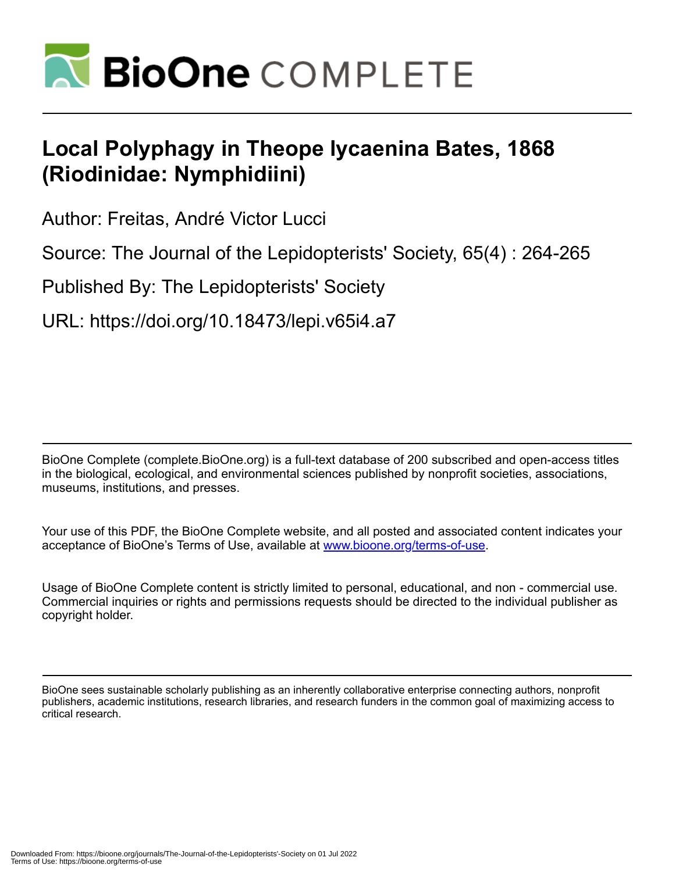

## **Local Polyphagy in Theope lycaenina Bates, 1868 (Riodinidae: Nymphidiini)**

Author: Freitas, André Victor Lucci

Source: The Journal of the Lepidopterists' Society, 65(4) : 264-265

Published By: The Lepidopterists' Society

URL: https://doi.org/10.18473/lepi.v65i4.a7

BioOne Complete (complete.BioOne.org) is a full-text database of 200 subscribed and open-access titles in the biological, ecological, and environmental sciences published by nonprofit societies, associations, museums, institutions, and presses.

Your use of this PDF, the BioOne Complete website, and all posted and associated content indicates your acceptance of BioOne's Terms of Use, available at www.bioone.org/terms-of-use.

Usage of BioOne Complete content is strictly limited to personal, educational, and non - commercial use. Commercial inquiries or rights and permissions requests should be directed to the individual publisher as copyright holder.

BioOne sees sustainable scholarly publishing as an inherently collaborative enterprise connecting authors, nonprofit publishers, academic institutions, research libraries, and research funders in the common goal of maximizing access to critical research.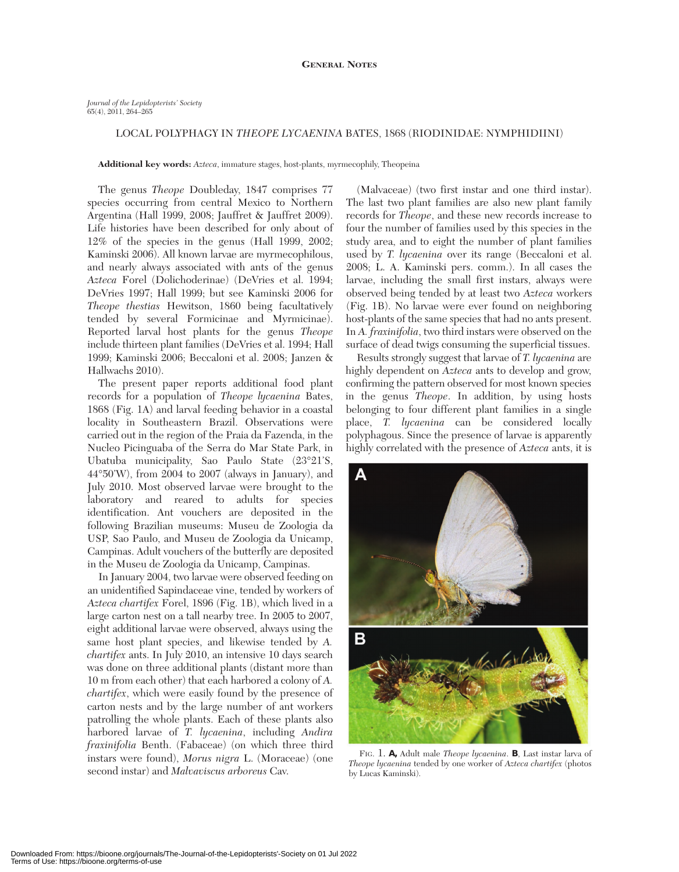## LOCAL POLYPHAGY IN *THEOPE LYCAENINA* BATES, 1868 (RIODINIDAE: NYMPHIDIINI)

**Additional key words:** *Azteca*, immature stages, host-plants, myrmecophily, Theopeina

The genus *Theope* Doubleday, 1847 comprises 77 species occurring from central Mexico to Northern Argentina (Hall 1999, 2008; Jauffret & Jauffret 2009). Life histories have been described for only about of 12% of the species in the genus (Hall 1999, 2002; Kaminski 2006). All known larvae are myrmecophilous, and nearly always associated with ants of the genus *Azteca* Forel (Dolichoderinae) (DeVries et al. 1994; DeVries 1997; Hall 1999; but see Kaminski 2006 for *Theope thestias* Hewitson, 1860 being facultatively tended by several Formicinae and Myrmicinae). Reported larval host plants for the genus *Theope* include thirteen plant families (DeVries et al. 1994; Hall 1999; Kaminski 2006; Beccaloni et al. 2008; Janzen & Hallwachs 2010).

The present paper reports additional food plant records for a population of *Theope lycaenina* Bates, 1868 (Fig. 1A) and larval feeding behavior in a coastal locality in Southeastern Brazil. Observations were carried out in the region of the Praia da Fazenda, in the Nucleo Picinguaba of the Serra do Mar State Park, in Ubatuba municipality, Sao Paulo State (23°21'S, 44°50'W), from 2004 to 2007 (always in January), and July 2010. Most observed larvae were brought to the laboratory and reared to adults for species identification. Ant vouchers are deposited in the following Brazilian museums: Museu de Zoologia da USP, Sao Paulo, and Museu de Zoologia da Unicamp, Campinas. Adult vouchers of the butterfly are deposited in the Museu de Zoologia da Unicamp, Campinas.

In January 2004, two larvae were observed feeding on an unidentified Sapindaceae vine, tended by workers of *Azteca chartifex* Forel, 1896 (Fig. 1B), which lived in a large carton nest on a tall nearby tree. In 2005 to 2007, eight additional larvae were observed, always using the same host plant species, and likewise tended by *A. chartifex* ants. In July 2010, an intensive 10 days search was done on three additional plants (distant more than 10 m from each other) that each harbored a colony of *A. chartifex*, which were easily found by the presence of carton nests and by the large number of ant workers patrolling the whole plants. Each of these plants also harbored larvae of *T. lycaenina*, including *Andira fraxinifolia* Benth. (Fabaceae) (on which three third instars were found), *Morus nigra* L. (Moraceae) (one second instar) and *Malvaviscus arboreus* Cav.

(Malvaceae) (two first instar and one third instar). The last two plant families are also new plant family records for *Theope*, and these new records increase to four the number of families used by this species in the study area, and to eight the number of plant families used by *T. lycaenina* over its range (Beccaloni et al. 2008; L. A. Kaminski pers. comm.). In all cases the larvae, including the small first instars, always were observed being tended by at least two *Azteca* workers (Fig. 1B). No larvae were ever found on neighboring host-plants of the same species that had no ants present. In *A. fraxinifolia*, two third instars were observed on the surface of dead twigs consuming the superficial tissues.

Results strongly suggest that larvae of *T. lycaenina* are highly dependent on *Azteca* ants to develop and grow, confirming the pattern observed for most known species in the genus *Theope*. In addition, by using hosts belonging to four different plant families in a single place, *T. lycaenina* can be considered locally polyphagous. Since the presence of larvae is apparently highly correlated with the presence of *Azteca* ants, it is



FIG. 1. **A,**Adult male *Theope lycaenina*. **B**, Last instar larva of *Theope lycaenina* tended by one worker of *Azteca chartifex* (photos by Lucas Kaminski).